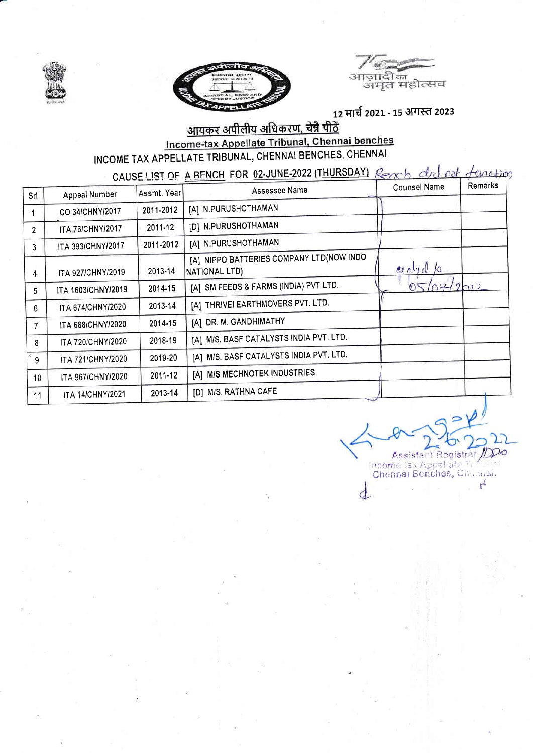





12 मार्च 2021 - 15 अगस्त 2023

## <u>आयकर अपीलीय अधिकरण, चेन्नै पीठें</u> Income-tax Appellate Tribunal, Chennai benches INCOME TAX APPELLATE TRIBUNAL, CHENNAI BENCHES, CHENNAI

CAUSE LIST OF A BENCH FOR 02-JUNE-2022 (THURSDAY) Reach dod not function

| Srl             | Appeal Number           | Assmt. Year | Assessee Name                                             | <b>Counsel Name</b> | Remarks |
|-----------------|-------------------------|-------------|-----------------------------------------------------------|---------------------|---------|
| 1               | CO 34/CHNY/2017         | 2011-2012   | [A] N.PURUSHOTHAMAN                                       |                     |         |
| $\mathbf{2}$    | ITA 76/CHNY/2017        | 2011-12     | [D] N.PURUSHOTHAMAN                                       |                     |         |
| 3               | ITA 393/CHNY/2017       | 2011-2012   | [A] N.PURUSHOTHAMAN                                       |                     |         |
| 4               | ITA 927/CHNY/2019       | 2013-14     | [A] NIPPO BATTERIES COMPANY LTD(NOW INDO<br>NATIONAL LTD) | addo                |         |
| 5               | ITA 1603/CHNY/2019      | 2014-15     | [A] SM FEEDS & FARMS (INDIA) PVT LTD.                     | 05/07/2022          |         |
| 6               | ITA 674/CHNY/2020       | 2013-14     | [A] THRIVEI EARTHMOVERS PVT. LTD.                         |                     |         |
| 7               | ITA 688/CHNY/2020       | 2014-15     | [A] DR. M. GANDHIMATHY                                    |                     |         |
| 8               | ITA 720/CHNY/2020       | 2018-19     | [A] M/S. BASF CATALYSTS INDIA PVT. LTD.                   |                     |         |
| 9               | ITA 721/CHNY/2020       | 2019-20     | [A] M/S. BASF CATALYSTS INDIA PVT. LTD.                   |                     |         |
| 10 <sup>°</sup> | ITA 967/CHNY/2020       | 2011-12     | [A] M/S MECHNOTEK INDUSTRIES                              |                     |         |
| 11              | <b>ITA 14/CHNY/2021</b> | 2013-14     | [D] M/S. RATHNA CAFE                                      |                     |         |

Assistant Registrar /DDO Income tax Appellate Tries